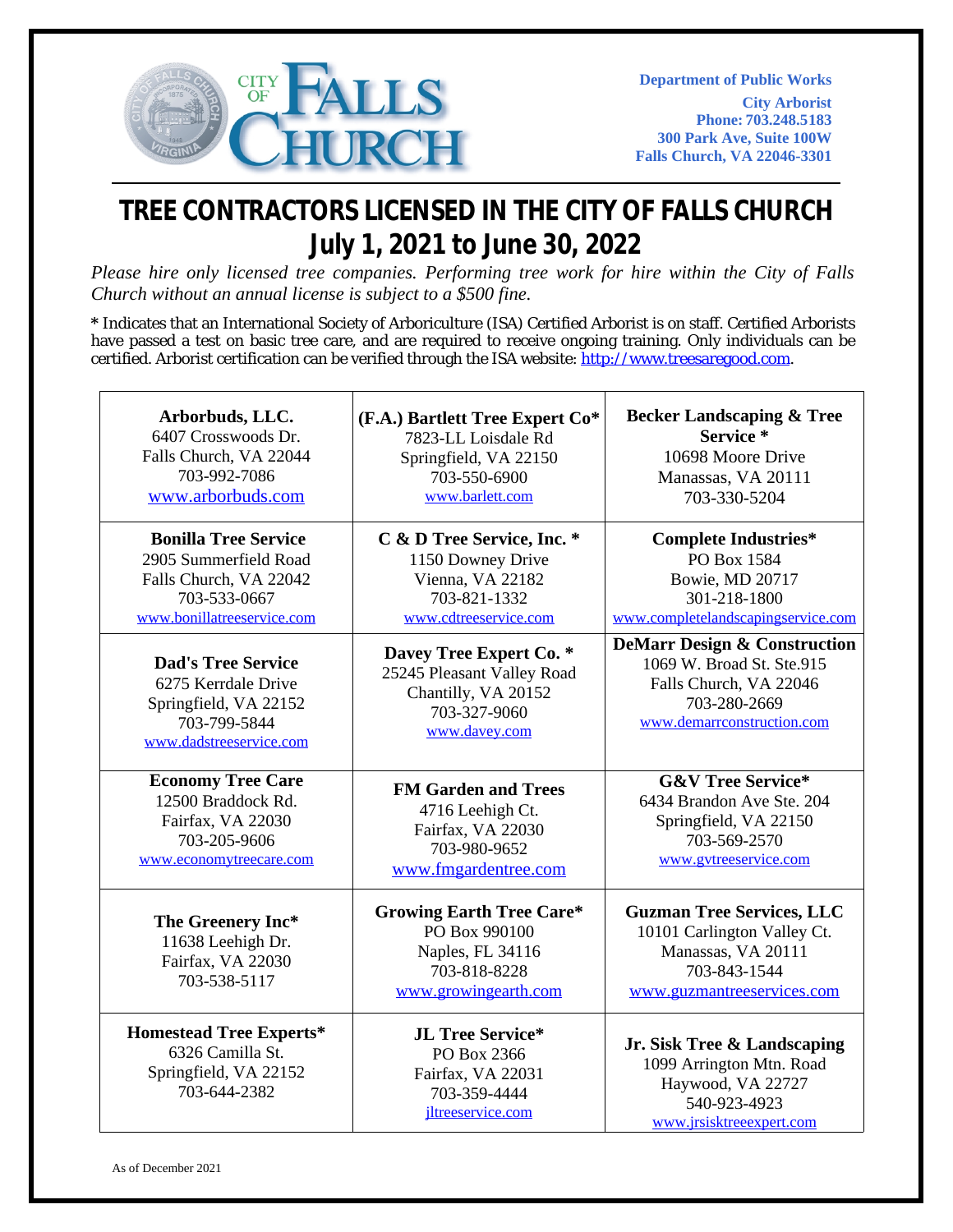

## **TREE CONTRACTORS LICENSED IN THE CITY OF FALLS CHURCH July 1, 2021 to June 30, 2022**

*Please hire only licensed tree companies. Performing tree work for hire within the City of Falls Church without an annual license is subject to a \$500 fine.*

**\*** Indicates that an International Society of Arboriculture (ISA) Certified Arborist is on staff. Certified Arborists have passed a test on basic tree care, and are required to receive ongoing training. Only individuals can be certified. Arborist certification can be verified through the ISA website: [http://www.treesaregood.com.](http://www.treesaregood.com/)

| Arborbuds, LLC.                                                                             | (F.A.) Bartlett Tree Expert Co*                                                                              | <b>Becker Landscaping &amp; Tree</b>                                                                                                |
|---------------------------------------------------------------------------------------------|--------------------------------------------------------------------------------------------------------------|-------------------------------------------------------------------------------------------------------------------------------------|
| 6407 Crosswoods Dr.                                                                         | 7823-LL Loisdale Rd                                                                                          | Service <sup>*</sup>                                                                                                                |
| Falls Church, VA 22044                                                                      | Springfield, VA 22150                                                                                        | 10698 Moore Drive                                                                                                                   |
| 703-992-7086                                                                                | 703-550-6900                                                                                                 | Manassas, VA 20111                                                                                                                  |
| www.arborbuds.com                                                                           | www.barlett.com                                                                                              | 703-330-5204                                                                                                                        |
| <b>Bonilla Tree Service</b>                                                                 | C & D Tree Service, Inc. *                                                                                   | <b>Complete Industries*</b>                                                                                                         |
| 2905 Summerfield Road                                                                       | 1150 Downey Drive                                                                                            | PO Box 1584                                                                                                                         |
| Falls Church, VA 22042                                                                      | Vienna, VA 22182                                                                                             | Bowie, MD 20717                                                                                                                     |
| 703-533-0667                                                                                | 703-821-1332                                                                                                 | 301-218-1800                                                                                                                        |
| www.bonillatreeservice.com                                                                  | www.cdtreeservice.com                                                                                        | www.completelandscapingservice.com                                                                                                  |
| <b>Dad's Tree Service</b>                                                                   | Davey Tree Expert Co. *                                                                                      | <b>DeMarr Design &amp; Construction</b>                                                                                             |
| 6275 Kerrdale Drive                                                                         | 25245 Pleasant Valley Road                                                                                   | 1069 W. Broad St. Ste.915                                                                                                           |
| Springfield, VA 22152                                                                       | Chantilly, VA 20152                                                                                          | Falls Church, VA 22046                                                                                                              |
| 703-799-5844                                                                                | 703-327-9060                                                                                                 | 703-280-2669                                                                                                                        |
| www.dadstreeservice.com                                                                     | www.davey.com                                                                                                | www.demarrconstruction.com                                                                                                          |
| <b>Economy Tree Care</b>                                                                    | <b>FM Garden and Trees</b>                                                                                   | <b>G&amp;V Tree Service*</b>                                                                                                        |
| 12500 Braddock Rd.                                                                          | 4716 Leehigh Ct.                                                                                             | 6434 Brandon Ave Ste. 204                                                                                                           |
| Fairfax, VA 22030                                                                           | Fairfax, VA 22030                                                                                            | Springfield, VA 22150                                                                                                               |
| 703-205-9606                                                                                | 703-980-9652                                                                                                 | 703-569-2570                                                                                                                        |
| www.economytreecare.com                                                                     | www.fmgardentree.com                                                                                         | www.gytreeservice.com                                                                                                               |
| The Greenery Inc*<br>11638 Leehigh Dr.<br>Fairfax, VA 22030<br>703-538-5117                 | <b>Growing Earth Tree Care*</b><br>PO Box 990100<br>Naples, FL 34116<br>703-818-8228<br>www.growingearth.com | <b>Guzman Tree Services, LLC</b><br>10101 Carlington Valley Ct.<br>Manassas, VA 20111<br>703-843-1544<br>www.guzmantreeservices.com |
| <b>Homestead Tree Experts*</b><br>6326 Camilla St.<br>Springfield, VA 22152<br>703-644-2382 | <b>JL Tree Service*</b><br>PO Box 2366<br>Fairfax, VA 22031<br>703-359-4444<br>jltreeservice.com             | Jr. Sisk Tree & Landscaping<br>1099 Arrington Mtn. Road<br>Haywood, VA 22727<br>540-923-4923<br>www.jrsisktreeexpert.com            |